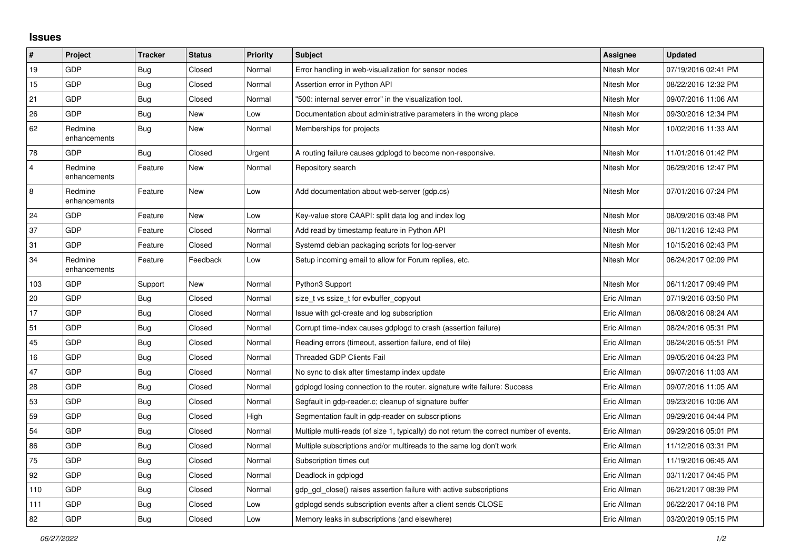## **Issues**

| $\vert$ #      | Project                 | <b>Tracker</b> | <b>Status</b> | <b>Priority</b> | <b>Subject</b>                                                                          | <b>Assignee</b> | <b>Updated</b>      |
|----------------|-------------------------|----------------|---------------|-----------------|-----------------------------------------------------------------------------------------|-----------------|---------------------|
| 19             | GDP                     | <b>Bug</b>     | Closed        | Normal          | Error handling in web-visualization for sensor nodes                                    | Nitesh Mor      | 07/19/2016 02:41 PM |
| 15             | <b>GDP</b>              | <b>Bug</b>     | Closed        | Normal          | Assertion error in Python API                                                           | Nitesh Mor      | 08/22/2016 12:32 PM |
| 21             | GDP                     | Bug            | Closed        | Normal          | "500: internal server error" in the visualization tool.                                 | Nitesh Mor      | 09/07/2016 11:06 AM |
| 26             | <b>GDP</b>              | Bug            | New           | Low             | Documentation about administrative parameters in the wrong place                        | Nitesh Mor      | 09/30/2016 12:34 PM |
| 62             | Redmine<br>enhancements | Bug            | New           | Normal          | Memberships for projects                                                                | Nitesh Mor      | 10/02/2016 11:33 AM |
| 78             | <b>GDP</b>              | Bug            | Closed        | Urgent          | A routing failure causes gdplogd to become non-responsive.                              | Nitesh Mor      | 11/01/2016 01:42 PM |
| $\overline{4}$ | Redmine<br>enhancements | Feature        | <b>New</b>    | Normal          | Repository search                                                                       | Nitesh Mor      | 06/29/2016 12:47 PM |
| 8              | Redmine<br>enhancements | Feature        | New           | Low             | Add documentation about web-server (gdp.cs)                                             | Nitesh Mor      | 07/01/2016 07:24 PM |
| 24             | <b>GDP</b>              | Feature        | <b>New</b>    | Low             | Key-value store CAAPI: split data log and index log                                     | Nitesh Mor      | 08/09/2016 03:48 PM |
| 37             | GDP                     | Feature        | Closed        | Normal          | Add read by timestamp feature in Python API                                             | Nitesh Mor      | 08/11/2016 12:43 PM |
| 31             | GDP                     | Feature        | Closed        | Normal          | Systemd debian packaging scripts for log-server                                         | Nitesh Mor      | 10/15/2016 02:43 PM |
| 34             | Redmine<br>enhancements | Feature        | Feedback      | Low             | Setup incoming email to allow for Forum replies, etc.                                   | Nitesh Mor      | 06/24/2017 02:09 PM |
| 103            | GDP                     | Support        | New           | Normal          | Python3 Support                                                                         | Nitesh Mor      | 06/11/2017 09:49 PM |
| $20\,$         | <b>GDP</b>              | <b>Bug</b>     | Closed        | Normal          | size t vs ssize t for evbuffer copyout                                                  | Eric Allman     | 07/19/2016 03:50 PM |
| 17             | GDP                     | <b>Bug</b>     | Closed        | Normal          | Issue with gcl-create and log subscription                                              | Eric Allman     | 08/08/2016 08:24 AM |
| 51             | GDP                     | Bug            | Closed        | Normal          | Corrupt time-index causes gdplogd to crash (assertion failure)                          | Eric Allman     | 08/24/2016 05:31 PM |
| 45             | <b>GDP</b>              | Bug            | Closed        | Normal          | Reading errors (timeout, assertion failure, end of file)                                | Eric Allman     | 08/24/2016 05:51 PM |
| $16$           | GDP                     | Bug            | Closed        | Normal          | <b>Threaded GDP Clients Fail</b>                                                        | Eric Allman     | 09/05/2016 04:23 PM |
| 47             | GDP                     | <b>Bug</b>     | Closed        | Normal          | No sync to disk after timestamp index update                                            | Eric Allman     | 09/07/2016 11:03 AM |
| 28             | GDP                     | Bug            | Closed        | Normal          | gdplogd losing connection to the router, signature write failure: Success               | Eric Allman     | 09/07/2016 11:05 AM |
| 53             | GDP                     | Bug            | Closed        | Normal          | Segfault in gdp-reader.c; cleanup of signature buffer                                   | Eric Allman     | 09/23/2016 10:06 AM |
| 59             | GDP                     | Bug            | Closed        | High            | Segmentation fault in gdp-reader on subscriptions                                       | Eric Allman     | 09/29/2016 04:44 PM |
| 54             | GDP                     | Bug            | Closed        | Normal          | Multiple multi-reads (of size 1, typically) do not return the correct number of events. | Eric Allman     | 09/29/2016 05:01 PM |
| 86             | <b>GDP</b>              | Bug            | Closed        | Normal          | Multiple subscriptions and/or multireads to the same log don't work                     | Eric Allman     | 11/12/2016 03:31 PM |
| 75             | GDP                     | Bug            | Closed        | Normal          | Subscription times out                                                                  | Eric Allman     | 11/19/2016 06:45 AM |
| 92             | GDP                     | Bug            | Closed        | Normal          | Deadlock in gdplogd                                                                     | Eric Allman     | 03/11/2017 04:45 PM |
| 110            | <b>GDP</b>              | Bug            | Closed        | Normal          | gdp gcl close() raises assertion failure with active subscriptions                      | Eric Allman     | 06/21/2017 08:39 PM |
| 111            | GDP                     | <b>Bug</b>     | Closed        | Low             | gdplogd sends subscription events after a client sends CLOSE                            | Eric Allman     | 06/22/2017 04:18 PM |
| 82             | GDP                     | <b>Bug</b>     | Closed        | Low             | Memory leaks in subscriptions (and elsewhere)                                           | Eric Allman     | 03/20/2019 05:15 PM |